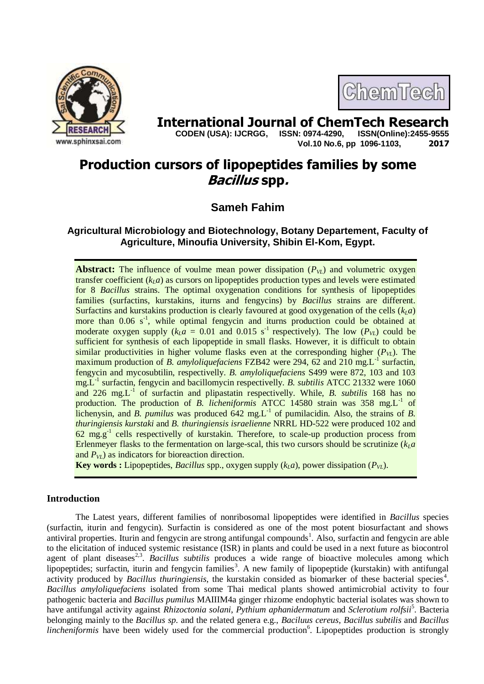

ChemTecl

**International Journal of ChemTech Research Copen (USA): IJCRGG. ISSN: 0974-4290. ISSN(Online):2455-9555 CODEN (USA): IJCRGG, ISSN: 0974-4290, Vol.10 No.6, pp 1096-1103, 2017**

# **Production cursors of lipopeptides families by some Bacillus spp.**

# **Sameh Fahim**

# **Agricultural Microbiology and Biotechnology, Botany Departement, Faculty of Agriculture, Minoufia University, Shibin El-Kom, Egypt.**

**Abstract:** The influence of voulme mean power dissipation  $(P_{VL})$  and volumetric oxygen transfer coefficient  $(k<sub>L</sub>a)$  as cursors on lipopeptides production types and levels were estimated for 8 *Bacillus* strains. The optimal oxygenation conditions for synthesis of lipopeptides families (surfactins, kurstakins, iturns and fengycins) by *Bacillus* strains are different. Surfactins and kurstakins production is clearly favoured at good oxygenation of the cells  $(k<sub>L</sub>a)$ more than 0.06 s<sup>-1</sup>, while optimal fengycin and iturns production could be obtained at moderate oxygen supply  $(k<sub>L</sub>a = 0.01$  and 0.015 s<sup>-1</sup> respectively). The low  $(P<sub>VL</sub>)$  could be sufficient for synthesis of each lipopeptide in small flasks. However, it is difficult to obtain similar productivities in higher volume flasks even at the corresponding higher  $(P<sub>VI</sub>)$ . The maximum production of *B. amyloliquefaciens* FZB42 were 294,  $62$  and 210 mg.L<sup>-1</sup> surfactin, fengycin and mycosubtilin, respectivelly. *B. amyloliquefaciens* S499 were 872, 103 and 103 mg.L-1 surfactin, fengycin and bacillomycin respectivelly. *B. subtilis* ATCC 21332 were 1060 and 226 mg.L<sup>-1</sup> of surfactin and plipastatin respectivelly. While, *B. subtilis* 168 has no production. The production of *B. licheniformis* ATCC 14580 strain was 358 mg.L<sup>-1</sup> of lichenysin, and *B. pumilus* was produced  $642 \text{ mg.L}^{-1}$  of pumilacidin. Also, the strains of *B*. *thuringiensis kurstaki* and *B. thuringiensis israelienne* NRRL HD-522 were produced 102 and 62 mg.g-1 cells respectivelly of kurstakin. Therefore, to scale-up production process from Erlenmeyer flasks to the fermentation on large-scal, this two cursors should be scrutinize  $(k<sub>L</sub>a)$ and  $P_{VL}$ ) as indicators for bioreaction direction.

**Key words :** Lipopeptides, *Bacillus* spp., oxygen supply  $(k<sub>L</sub>a)$ , power dissipation  $(P<sub>VI</sub>)$ .

# **Introduction**

The Latest years, different families of nonribosomal lipopeptides were identified in *Bacillus* species (surfactin, iturin and fengycin). Surfactin is considered as one of the most potent biosurfactant and shows antiviral properties. Iturin and fengycin are strong antifungal compounds<sup>1</sup>. Also, surfactin and fengycin are able to the elicitation of induced systemic resistance (ISR) in plants and could be used in a next future as biocontrol agent of plant diseases<sup>2,3</sup>. *Bacillus subtilis* produces a wide range of bioactive molecules among which lipopeptides; surfactin, iturin and fengycin families<sup>3</sup>. A new family of lipopeptide (kurstakin) with antifungal activity produced by *Bacillus thuringiensis*, the kurstakin consided as biomarker of these bacterial species<sup>4</sup>. *Bacillus amyloliquefaciens* isolated from some Thai medical plants showed antimicrobial activity to four pathogenic bacteria and *Bacillus pumilus* MAIIIM4a ginger rhizome endophytic bacterial isolates was shown to have antifungal activity against *Rhizoctonia solani*, *Pythium aphanidermatum* and *Sclerotium rolfsii*<sup>5</sup> . Bacteria belonging mainly to the *Bacillus sp.* and the related genera e.g., *Baciluus cereus*, *Bacillus subtilis* and *Bacillus*  lincheniformis have been widely used for the commercial production<sup>6</sup>. Lipopeptides production is strongly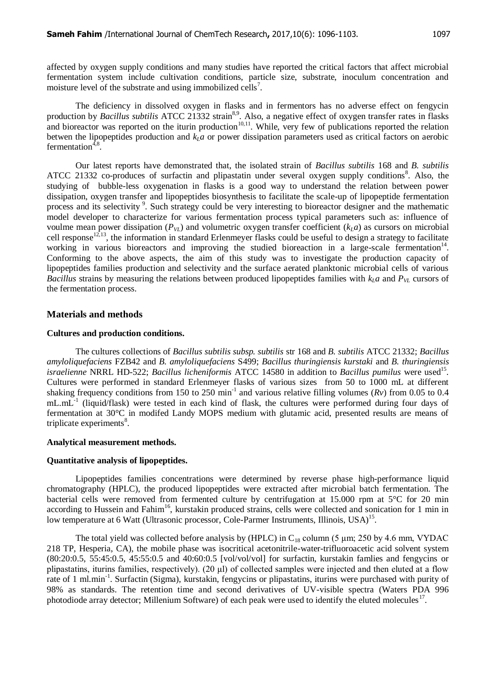affected by oxygen supply conditions and many studies have reported the critical factors that affect microbial fermentation system include cultivation conditions, particle size, substrate, inoculum concentration and moisture level of the substrate and using immobilized cells<sup>7</sup>.

The deficiency in dissolved oxygen in flasks and in fermentors has no adverse effect on fengycin production by *Bacillus subtilis* ATCC 21332 strain<sup>8,9</sup>. Also, a negative effect of oxygen transfer rates in flasks and bioreactor was reported on the iturin production<sup>10,11</sup>. While, very few of publications reported the relation betwen the lipopeptides production and  $k<sub>L</sub>a$  or power dissipation parameters used as critical factors on aerobic fermentation<sup>4,8</sup>.

Our latest reports have demonstrated that, the isolated strain of *Bacillus subtilis* 168 and *B. subtilis* ATCC 21332 co-produces of surfactin and plipastatin under several oxygen supply conditions<sup>8</sup>. Also, the studying of bubble-less oxygenation in flasks is a good way to understand the relation between power dissipation, oxygen transfer and lipopeptides biosynthesis to facilitate the scale-up of lipopeptide fermentation process and its selectivity<sup>9</sup>. Such strategy could be very interesting to bioreactor designer and the mathematic model developer to characterize for various fermentation process typical parameters such as: influence of voulme mean power dissipation ( $P_{VI}$ ) and volumetric oxygen transfer coefficient ( $k_I a$ ) as cursors on microbial cell response<sup>12,13</sup>, the information in standard Erlenmeyer flasks could be useful to design a strategy to facilitate working in various bioreactors and improving the studied bioreaction in a large-scale fermentation<sup>14</sup>. Conforming to the above aspects, the aim of this study was to investigate the production capacity of lipopeptides families production and selectivity and the surface aerated planktonic microbial cells of various *Bacillus* strains by measuring the relations between produced lipopeptides families with  $k_l a$  and  $P_{V_l}$  cursors of the fermentation process.

#### **Materials and methods**

#### **Cultures and production conditions.**

The cultures collections of *[Bacillus subtilis subsp. subtilis](http://www.ncbi.nlm.nih.gov/genomeprj/76)* str 168 and *B. subtilis* ATCC 21332; *Bacillus amyloliquefaciens* FZB42 and *B. amyloliquefaciens* S499; *Bacillus thuringiensis kurstaki* and *B. thuringiensis*  israelienne NRRL HD-522; *Bacillus licheniformis* ATCC 14580 in addition to *Bacillus pumilus* were used<sup>15</sup>. Cultures were performed in standard Erlenmeyer flasks of various sizes from 50 to 1000 mL at different shaking frequency conditions from 150 to 250 min<sup>-1</sup> and various relative filling volumes ( $Rv$ ) from 0.05 to 0.4 mL.mL<sup>-1</sup> (liquid/flask) were tested in each kind of flask, the cultures were performed during four days of fermentation at 30°C in modifed Landy MOPS medium with glutamic acid, presented results are means of triplicate experiments $^{8}$ .

#### **Analytical measurement methods.**

#### **Quantitative analysis of lipopeptides.**

Lipopeptides families concentrations were determined by reverse phase high-performance liquid chromatography (HPLC), the produced lipopeptides were extracted after microbial batch fermentation. The bacterial cells were removed from fermented culture by centrifugation at 15.000 rpm at 5°C for 20 min according to Hussein and Fahim<sup>16</sup>, kurstakin produced strains, cells were collected and sonication for 1 min in low temperature at 6 Watt (Ultrasonic processor, Cole-Parmer Instruments, Illinois, USA)<sup>15</sup>.

The total yield was collected before analysis by (HPLC) in  $C_{18}$  column (5 µm; 250 by 4.6 mm, VYDAC 218 TP, Hesperia, CA), the mobile phase was isocritical acetonitrile-water-trifluoroacetic acid solvent system (80:20:0.5, 55:45:0.5, 45:55:0.5 and 40:60:0.5 [vol/vol/vol] for surfactin, kurstakin famlies and fengycins or plipastatins, iturins families, respectively). (20 μl) of collected samples were injected and then eluted at a flow rate of 1 ml.min<sup>-1</sup>. Surfactin (Sigma), kurstakin, fengycins or plipastatins, iturins were purchased with purity of 98% as standards. The retention time and second derivatives of UV-visible spectra (Waters PDA 996 photodiode array detector; Millenium Software) of each peak were used to identify the eluted molecules<sup>17</sup>.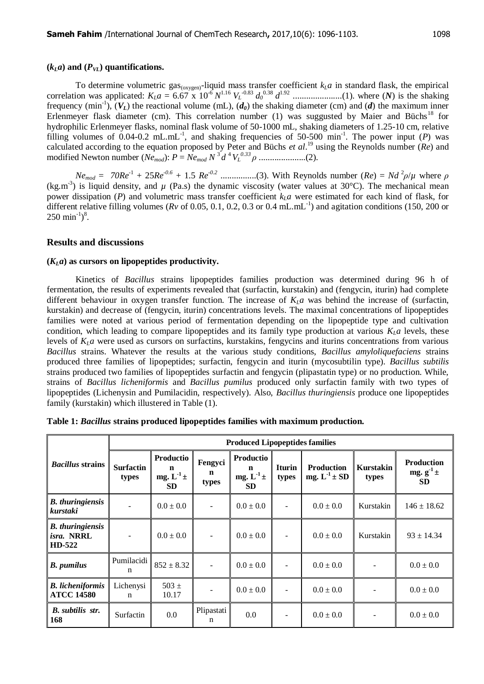To determine volumetric gas<sub>(oxygen)</sub>-liquid mass transfer coefficient  $k<sub>L</sub>a$  in standard flask, the empirical correlation was applicated: *KLa* = 6.67 x 10-6 *N* 1.16 *V<sup>L</sup>* -0.83 *d<sup>0</sup>* 0.38 *d* 1.92 ......................(1). where (*N*) is the shaking frequency  $(\min^{-1})$ ,  $(V_L)$  the reactional volume  $(mL)$ ,  $(d_0)$  the shaking diameter  $(cm)$  and  $(d)$  the maximum inner Erlenmeyer flask diameter (cm). This correlation number (1) was suggusted by Maier and Büchs<sup>18</sup> for hydrophilic Erlenmeyer flasks, nominal flask volume of 50-1000 mL, shaking diameters of 1.25-10 cm, relative filling volumes of  $0.04$ -0.2 mL.mL<sup>-1</sup>, and shaking frequencies of 50-500 min<sup>-1</sup>. The power input (*P*) was calculated according to the equation proposed by Peter and Büchs *et al*. <sup>19</sup> using the Reynolds number (*Re*) and modified Newton number (*Nemod*): *P* = *Nemod N* <sup>3</sup>*d* <sup>4</sup>*V<sup>L</sup> 0.33 ρ* .....................(2).

 $N_{\ell_{mod}} = 70Re^{-1} + 25Re^{-0.6} + 1.5Re^{-0.2}$  .....................(3). With Reynolds number  $(Re) = Nd^2\rho/\mu$  where  $\rho$  $(kg.m<sup>3</sup>)$  is liquid density, and  $\mu$  (Pa.s) the dynamic viscosity (water values at 30°C). The mechanical mean power dissipation (*P*) and volumetric mass transfer coefficient  $k<sub>L</sub>a$  were estimated for each kind of flask, for different relative filling volumes ( $Rv$  of 0.05, 0.1, 0.2, 0.3 or 0.4 mL.mL<sup>-1</sup>) and agitation conditions (150, 200 or  $250 \text{ min}^{-1}$ <sup>8</sup>.

### **Results and discussions**

#### **(***KLa***) as cursors on lipopeptides productivity.**

Kinetics of *Bacillus* strains lipopeptides families production was determined during 96 h of fermentation, the results of experiments revealed that (surfactin, kurstakin) and (fengycin, iturin) had complete different behaviour in oxygen transfer function. The increase of  $K<sub>L</sub>a$  was behind the increase of (surfactin, kurstakin) and decrease of (fengycin, iturin) concentrations levels. The maximal concentrations of lipopeptides families were noted at various period of fermentation depending on the lipopeptide type and cultivation condition, which leading to compare lipopeptides and its family type production at various  $K<sub>L</sub>a$  levels, these levels of  $K<sub>L</sub>a$  were used as cursors on surfactins, kurstakins, fengycins and iturins concentrations from various *Bacillus* strains. Whatever the results at the various study conditions, *Bacillus amyloliquefaciens* strains produced three families of lipopeptides; surfactin, fengycin and iturin (mycosubtilin type). *Bacillus subtilis* strains produced two families of lipopeptides surfactin and fengycin (plipastatin type) or no production. While, strains of *Bacillus licheniformis* and *Bacillus pumilus* produced only surfactin family with two types of lipopeptides (Lichenysin and Pumilacidin, respectively). Also, *Bacillus thuringiensis* produce one lipopeptides family (kurstakin) which illustered in Table (1).

| <b>Bacillus</b> strains                         | <b>Produced Lipopeptides families</b> |                                                             |                                 |                                               |                        |                                          |                    |                                               |  |
|-------------------------------------------------|---------------------------------------|-------------------------------------------------------------|---------------------------------|-----------------------------------------------|------------------------|------------------------------------------|--------------------|-----------------------------------------------|--|
|                                                 | <b>Surfactin</b><br>types             | Productio<br>$\mathbf n$<br>mg. $L^{-1}$ $\pm$<br><b>SD</b> | Fengyci<br>$\mathbf n$<br>types | Productio<br>n<br>mg. $L^{-1}$ ±<br><b>SD</b> | <b>Iturin</b><br>types | <b>Production</b><br>mg. $L^{-1} \pm SD$ | Kurstakin<br>types | <b>Production</b><br>mg. $g^1$ ±<br><b>SD</b> |  |
| <b>B.</b> thuringiensis<br>kurstaki             |                                       | $0.0 \pm 0.0$                                               |                                 | $0.0 \pm 0.0$                                 |                        | $0.0 \pm 0.0$                            | Kurstakin          | $146 \pm 18.62$                               |  |
| <b>B.</b> thuringiensis<br>isra. NRRL<br>HD-522 |                                       | $0.0 \pm 0.0$                                               | $\overline{\phantom{a}}$        | $0.0 \pm 0.0$                                 |                        | $0.0 \pm 0.0$                            | Kurstakin          | $93 \pm 14.34$                                |  |
| <b>B.</b> pumilus                               | Pumilacidi<br>n                       | $852 \pm 8.32$                                              |                                 | $0.0 \pm 0.0$                                 |                        | $0.0 \pm 0.0$                            |                    | $0.0 \pm 0.0$                                 |  |
| <b>B.</b> licheniformis<br><b>ATCC 14580</b>    | Lichenysi<br>$\mathbf n$              | $503 \pm$<br>10.17                                          |                                 | $0.0 \pm 0.0$                                 |                        | $0.0 \pm 0.0$                            |                    | $0.0 \pm 0.0$                                 |  |
| <b>B.</b> subtilis str.<br>168                  | Surfactin                             | 0.0                                                         | Plipastati<br>n                 | 0.0                                           |                        | $0.0 \pm 0.0$                            |                    | $0.0 \pm 0.0$                                 |  |

|  |  |  |  | Table 1: Bacillus strains produced lipopeptides families with maximum production. |
|--|--|--|--|-----------------------------------------------------------------------------------|
|  |  |  |  |                                                                                   |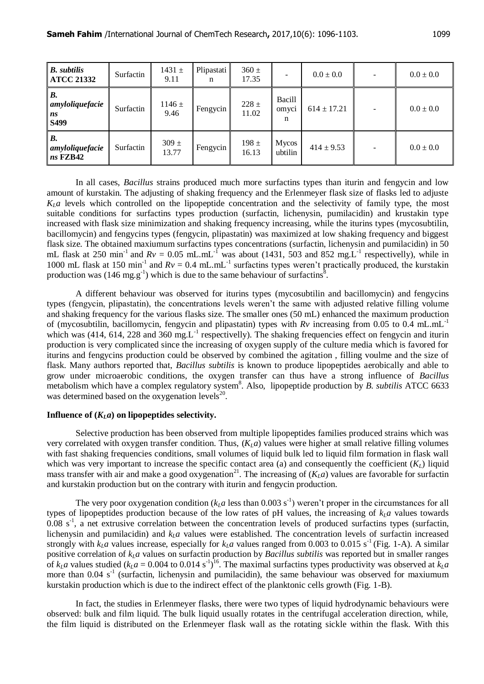| <b>B.</b> subtilis<br><b>ATCC 21332</b>    | Surfactin | $1431 \pm$<br>9.11 | Plipastati<br>n | $360 \pm$<br>17.35 |                      | $0.0 \pm 0.0$   | $0.0 \pm 0.0$ |
|--------------------------------------------|-----------|--------------------|-----------------|--------------------|----------------------|-----------------|---------------|
| <b>B.</b><br>amyloliquefacie<br>ns<br>S499 | Surfactin | $1146 \pm$<br>9.46 | Fengycin        | $228 \pm$<br>11.02 | Bacill<br>omyci<br>n | $614 \pm 17.21$ | $0.0 \pm 0.0$ |
| <b>B.</b><br>amyloliquefacie<br>$ns$ FZB42 | Surfactin | $309 \pm$<br>13.77 | Fengycin        | 198 $\pm$<br>16.13 | Mycos<br>ubtilin     | $414 \pm 9.53$  | $0.0 \pm 0.0$ |

In all cases, *Bacillus* strains produced much more surfactins types than iturin and fengycin and low amount of kurstakin. The adjusting of shaking frequency and the Erlenmeyer flask size of flasks led to adjuste  $K<sub>l</sub>$  a levels which controlled on the lipopeptide concentration and the selectivity of family type, the most suitable conditions for surfactins types production (surfactin, lichenysin, pumilacidin) and krustakin type increased with flask size minimization and shaking frequency increasing, while the iturins types (mycosubtilin, bacillomycin) and fengycins types (fengycin, plipastatin) was maximized at low shaking frequency and biggest flask size. The obtained maxiumum surfactins types concentrations (surfactin, lichenysin and pumilacidin) in 50 mL flask at 250 min<sup>-1</sup> and  $Rv = 0.05$  mL.mL<sup>-1</sup> was about (1431, 503 and 852 mg.L<sup>-1</sup> respectivelly), while in 1000 mL flask at 150 min<sup>-1</sup> and  $Rv = 0.4$  mL.mL<sup>-1</sup> surfactins types weren't practically produced, the kurstakin production was (146 mg.g<sup>-1</sup>) which is due to the same behaviour of surfactins<sup>8</sup>.

A different behaviour was observed for iturins types (mycosubtilin and bacillomycin) and fengycins types (fengycin, plipastatin), the concentrations levels weren't the same with adjusted relative filling volume and shaking frequency for the various flasks size. The smaller ones (50 mL) enhanced the maximum production of (mycosubtilin, bacillomycin, fengycin and plipastatin) types with  $Rv$  increasing from 0.05 to 0.4 mL.mL<sup>-1</sup> which was (414, 614, 228 and 360 mg. $L^{-1}$  respectivelly). The shaking frequencies effect on fengycin and iturin production is very complicated since the increasing of oxygen supply of the culture media which is favored for iturins and fengycins production could be observed by combined the agitation , filling voulme and the size of flask. Many authors reported that, *Bacillus subtilis* is known to produce lipopeptides aerobically and able to grow under microaerobic conditions, the oxygen transfer can thus have a strong influence of *Bacillus* metabolism which have a complex regulatory system<sup>8</sup>. Also, lipopeptide production by *B. subtilis* ATCC 6633 was determined based on the oxygenation levels $^{20}$ .

#### **Influence of**  $(K<sub>L</sub>a)$  **on lipopeptides selectivity.**

Selective production has been observed from multiple lipopeptides families produced strains which was very correlated with oxygen transfer condition. Thus, (*KLa*) values were higher at small relative filling volumes with fast shaking frequencies conditions, small volumes of liquid bulk led to liquid film formation in flask wall which was very important to increase the specific contact area (a) and consequently the coefficient  $(K_L)$  liquid mass transfer with air and make a good oxygenation<sup>21</sup>. The increasing of  $(K<sub>L</sub>a)$  values are favorable for surfactin and kurstakin production but on the contrary with iturin and fengycin production.

The very poor oxygenation condition ( $k<sub>L</sub>a$  less than 0.003 s<sup>-1</sup>) weren't proper in the circumstances for all types of lipopeptides production because of the low rates of pH values, the increasing of  $k_l a$  values towards  $0.08$  s<sup>-1</sup>, a net extrusive correlation between the concentration levels of produced surfactins types (surfactin, lichenysin and pumilacidin) and  $k<sub>L</sub>a$  values were established. The concentration levels of surfactin increased strongly with  $k<sub>L</sub>a$  values increase, especially for  $k<sub>L</sub>a$  values ranged from 0.003 to 0.015 s<sup>-1</sup> (Fig. 1-A). A similar positive correlation of *kLa* values on surfactin production by *Bacillus subtilis* was reported but in smaller ranges of  $k_L a$  values studied ( $k_L a = 0.004$  to 0.014 s<sup>-1</sup>)<sup>16</sup>. The maximal surfactins types productivity was observed at  $k_L a$ more than  $0.04 \text{ s}^{-1}$  (surfactin, lichenysin and pumilacidin), the same behaviour was observed for maxiumum kurstakin production which is due to the indirect effect of the planktonic cells growth (Fig. 1-B).

In fact, the studies in Erlenmeyer flasks, there were two types of liquid hydrodynamic behaviours were observed: bulk and film liquid. The bulk liquid usually rotates in the centrifugal acceleration direction, while, the film liquid is distributed on the Erlenmeyer flask wall as the rotating sickle within the flask. With this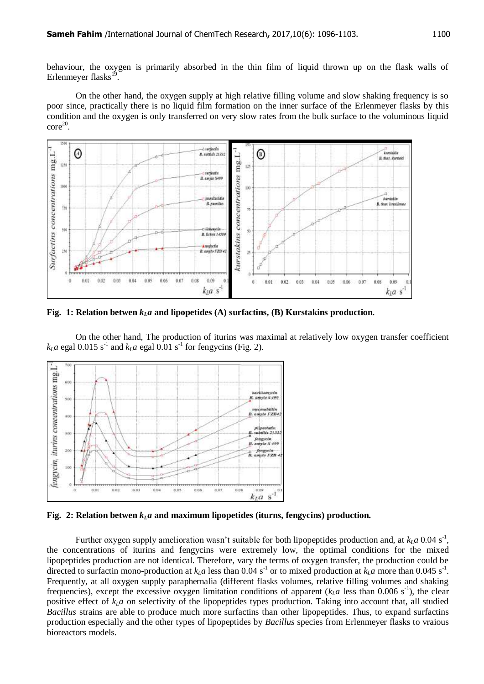behaviour, the oxygen is primarily absorbed in the thin film of liquid thrown up on the flask walls of Erlenmeyer flasks<sup>19</sup>.

On the other hand, the oxygen supply at high relative filling volume and slow shaking frequency is so poor since, practically there is no liquid film formation on the inner surface of the Erlenmeyer flasks by this condition and the oxygen is only transferred on very slow rates from the bulk surface to the voluminous liquid  $\text{core}^{20}$ .



**Fig. 1: Relation** betwen  $k_I a$  and lipopetides (A) surfactins, (B) Kurstakins production.

On the other hand, The production of iturins was maximal at relatively low oxygen transfer coefficient  $k<sub>L</sub>a$  egal 0.015 s<sup>-1</sup> and  $k<sub>L</sub>a$  egal 0.01 s<sup>-1</sup> for fengycins (Fig. 2).



**Fig. 2: Relation** betwen  $k_I a$  and maximum lipopetides (iturns, fengycins) production.

Further oxygen supply amelioration wasn't suitable for both lipopeptides production and, at  $k_L a$  0.04 s<sup>-1</sup>, the concentrations of iturins and fengycins were extremely low, the optimal conditions for the mixed lipopeptides production are not identical. Therefore, vary the terms of oxygen transfer, the production could be directed to surfactin mono-production at  $k<sub>L</sub>a$  less than 0.04 s<sup>-1</sup> or to mixed production at  $k<sub>L</sub>a$  more than 0.045 s<sup>-1</sup>. Frequently, at all oxygen supply paraphernalia (different flasks volumes, relative filling volumes and shaking frequencies), except the excessive oxygen limitation conditions of apparent ( $k<sub>L</sub>a$  less than 0.006 s<sup>-1</sup>), the clear positive effect of  $k_I a$  on selectivity of the lipopeptides types production. Taking into account that, all studied *Bacillus* strains are able to produce much more surfactins than other lipopeptides. Thus, to expand surfactins production especially and the other types of lipopeptides by *Bacillus* species from Erlenmeyer flasks to vraious bioreactors models.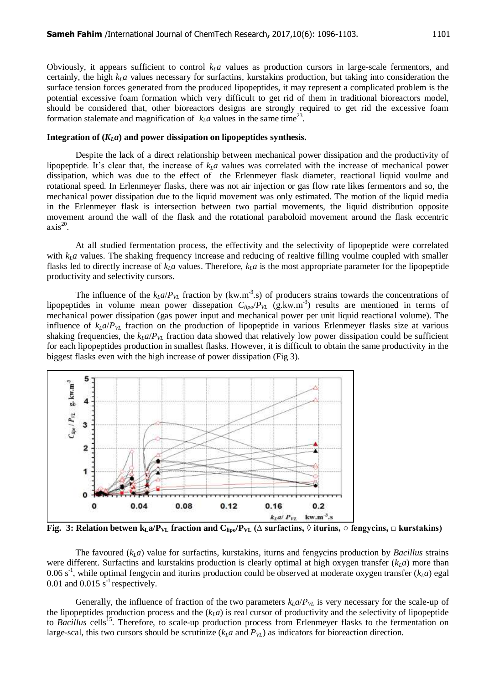Obviously, it appears sufficient to control  $k<sub>L</sub>a$  values as production cursors in large-scale fermentors, and certainly, the high  $k<sub>L</sub>a$  values necessary for surfactins, kurstakins production, but taking into consideration the surface tension forces generated from the produced lipopeptides, it may represent a complicated problem is the potential excessive foam formation which very difficult to get rid of them in traditional bioreactors model, should be considered that, other bioreactors designs are strongly required to get rid the excessive foam formation stalemate and magnification of  $k<sub>L</sub>a$  values in the same time<sup>23</sup>.

### Integration of  $(K<sub>L</sub>a)$  and power dissipation on lipopeptides synthesis.

Despite the lack of a direct relationship between mechanical power dissipation and the productivity of lipopeptide. It's clear that, the increase of  $k<sub>L</sub>a$  values was correlated with the increase of mechanical power dissipation, which was due to the effect of the Erlenmeyer flask diameter, reactional liquid voulme and rotational speed. In Erlenmeyer flasks, there was not air injection or gas flow rate likes fermentors and so, the mechanical power dissipation due to the liquid movement was only estimated. The motion of the liquid media in the Erlenmeyer flask is intersection between two partial movements, the liquid distribution opposite movement around the wall of the flask and the rotational paraboloid movement around the flask eccentric  $axis<sup>20</sup>$ .

At all studied fermentation process, the effectivity and the selectivity of lipopeptide were correlated with  $k_L a$  values. The shaking frequency increase and reducing of realtive filling voulme coupled with smaller flasks led to directly increase of  $k<sub>L</sub>a$  values. Therefore,  $k<sub>L</sub>a$  is the most appropriate parameter for the lipopeptide productivity and selectivity cursors.

The influence of the  $k_L a / P_{VL}$  fraction by (kw.m<sup>-3</sup>.s) of producers strains towards the concentrations of lipopeptides in volume mean power dissepation  $C_{lipo}/P_{VL}$  (g.kw.m<sup>-3</sup>) results are mentioned in terms of mechanical power dissipation (gas power input and mechanical power per unit liquid reactional volume). The influence of  $k_I a / P_{VI}$  fraction on the production of lipopeptide in various Erlenmeyer flasks size at various shaking frequencies, the  $k_I a / P_{VI}$  fraction data showed that relatively low power dissipation could be sufficient for each lipopeptides production in smallest flasks. However, it is difficult to obtain the same productivity in the biggest flasks even with the high increase of power dissipation (Fig 3).



**Fig. 3: Relation betwen**  $k_{L}a/P_{VL}$  **fraction and**  $C_{lipo}/P_{VL}$  **(** $\Delta$  **surfactins,**  $\Diamond$  **iturins,**  $\Diamond$  **fengycins,**  $\Box$  **kurstakins)** 

The favoured (*kLa*) value for surfactins, kurstakins, iturns and fengycins production by *Bacillus* strains were different. Surfactins and kurstakins production is clearly optimal at high oxygen transfer  $(k<sub>L</sub>a)$  more than 0.06 s<sup>-1</sup>, while optimal fengycin and iturins production could be observed at moderate oxygen transfer  $(k<sub>L</sub>a)$  egal 0.01 and 0.015  $\bar{s}^{-1}$  respectively.

Generally, the influence of fraction of the two parameters  $k_L a / P_{VL}$  is very necessary for the scale-up of the lipopeptides production process and the  $(k<sub>L</sub>a)$  is real cursor of productivity and the selectivity of lipopeptide to *Bacillus* cells<sup>15</sup>. Therefore, to scale-up production process from Erlenmeyer flasks to the fermentation on large-scal, this two cursors should be scrutinize  $(k<sub>L</sub>a$  and  $P<sub>VL</sub>$ ) as indicators for bioreaction direction.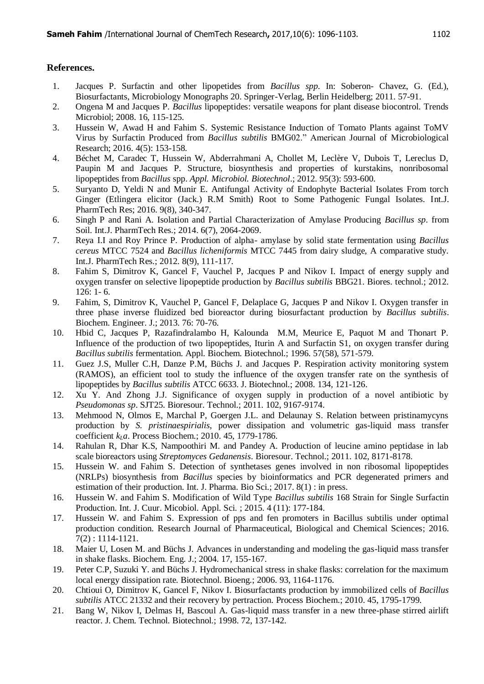## **References.**

- 1. Jacques P. Surfactin and other lipopetides from *Bacillus spp*. In: Soberon- Chavez, G. (Ed.), Biosurfactants, Microbiology Monographs 20. Springer-Verlag, Berlin Heidelberg; 2011. 57-91.
- 2. Ongena M and Jacques P. *Bacillus* lipopeptides: versatile weapons for plant disease biocontrol. Trends Microbiol; 2008. 16, 115-125.
- 3. Hussein W, Awad H and Fahim S. Systemic Resistance Induction of Tomato Plants against ToMV Virus by Surfactin Produced from *Bacillus subtilis* BMG02." American Journal of Microbiological Research; 2016. 4(5): 153-158.
- 4. Béchet M, Caradec T, Hussein W, Abderrahmani A, Chollet M, Leclère V, Dubois T, Lereclus D, Paupin M and Jacques P. Structure, biosynthesis and properties of kurstakins, nonribosomal lipopeptides from *Bacillus* spp. *Appl. Microbiol. Biotechnol*.; 2012. 95(3): 593-600.
- 5. Suryanto D, Yeldi N and Munir E. Antifungal Activity of Endophyte Bacterial Isolates From torch Ginger (Etlingera elicitor (Jack.) R.M Smith) Root to Some Pathogenic Fungal Isolates. Int.J. PharmTech Res; 2016. 9(8), 340-347.
- 6. Singh P and Rani A. Isolation and Partial Characterization of Amylase Producing *Bacillus sp*. from Soil. Int.J. PharmTech Res.; 2014. 6(7), 2064-2069.
- 7. Reya I.I and Roy Prince P. Production of alpha- amylase by solid state fermentation using *Bacillus cereus* MTCC 7524 and *Bacillus licheniformis* MTCC 7445 from dairy sludge, A comparative study. Int.J. PharmTech Res.; 2012. 8(9), 111-117.
- 8. Fahim S, Dimitrov K, Gancel F, Vauchel P, Jacques P and Nikov I. Impact of energy supply and oxygen transfer on selective lipopeptide production by *Bacillus subtilis* BBG21. Biores. technol.; 2012. 126: 1- 6.
- 9. Fahim, S, Dimitrov K, Vauchel P, Gancel F, Delaplace G, Jacques P and Nikov I. Oxygen transfer in three phase inverse fluidized bed bioreactor during biosurfactant production by *Bacillus subtilis*. Biochem. Engineer. J.; 2013. 76: 70-76.
- 10. Hbid C, Jacques P, Razafindralambo H, Kalounda M.M, Meurice E, Paquot M and Thonart P. Influence of the production of two lipopeptides, Iturin A and Surfactin S1, on oxygen transfer during *Bacillus subtilis* fermentation. Appl. Biochem. Biotechnol.; 1996. 57(58), 571-579.
- 11. Guez J.S, Muller C.H, Danze P.M, Büchs J. and Jacques P. Respiration activity monitoring system (RAMOS), an efficient tool to study the influence of the oxygen transfer rate on the synthesis of lipopeptides by *Bacillus subtilis* ATCC 6633. J. Biotechnol.; 2008. 134, 121-126.
- 12. Xu Y. And Zhong J.J. Significance of oxygen supply in production of a novel antibiotic by *Pseudomonas sp*. SJT25. Bioresour. Technol.; 2011. 102, 9167-9174.
- 13. Mehmood N, Olmos E, Marchal P, Goergen J.L. and Delaunay S. Relation between pristinamycyns production by *S. pristinaespirialis*, power dissipation and volumetric gas-liquid mass transfer coefficient *kLa*. Process Biochem.; 2010. 45, 1779-1786.
- 14. Rahulan R, Dhar K.S, Nampoothiri M. and Pandey A. Production of leucine amino peptidase in lab scale bioreactors using *Streptomyces Gedanensis*. Bioresour. Technol.; 2011. 102, 8171-8178.
- 15. Hussein W. and Fahim S. Detection of synthetases genes involved in non ribosomal lipopeptides (NRLPs) biosynthesis from *Bacillus* species by bioinformatics and PCR degenerated primers and estimation of their production. Int. J. Pharma. Bio Sci.; 2017. 8(1) : in press.
- 16. Hussein W. and Fahim S. Modification of Wild Type *Bacillus subtilis* 168 Strain for Single Surfactin Production. Int. J. Cuur. Micobiol. Appl. Sci. ; 2015. 4 (11): 177-184.
- 17. Hussein W. and Fahim S. Expression of pps and fen promoters in Bacillus subtilis under optimal production condition. Research Journal of Pharmaceutical, Biological and Chemical Sciences; 2016. 7(2) : 1114-1121.
- 18. Maier U, Losen M. and Büchs J. Advances in understanding and modeling the gas-liquid mass transfer in shake flasks. Biochem. Eng. J.; 2004. 17, 155-167.
- 19. Peter C.P, Suzuki Y. and Büchs J. Hydromechanical stress in shake flasks: correlation for the maximum local energy dissipation rate. Biotechnol. Bioeng.; 2006. 93, 1164-1176.
- 20. Chtioui O, Dimitrov K, Gancel F, Nikov I. Biosurfactants production by immobilized cells of *Bacillus subtilis* ATCC 21332 and their recovery by pertraction. Process Biochem.; 2010. 45, 1795-1799.
- 21. Bang W, Nikov I, Delmas H, Bascoul A. Gas-liquid mass transfer in a new three-phase stirred airlift reactor. J. Chem. Technol. Biotechnol.; 1998. 72, 137-142.